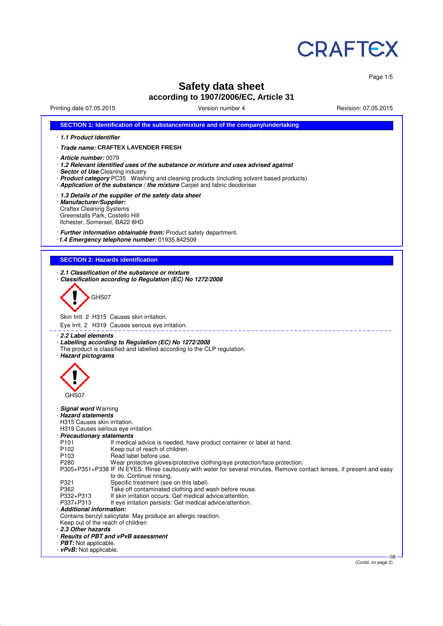

Page 1/5

# **Safety data sheet**

## **according to 1907/2006/EC, Article 31**

Printing date 07.05.2015 Version number 4 Revision: 07.05.2015

| 1.1 Product identifier                                                                                                                                                                                                                                                                                                                                                                                                                                                                                                                                                                                                                                                                                                                                                                                                                                                                                                                                                                                                                                                                                   |  |
|----------------------------------------------------------------------------------------------------------------------------------------------------------------------------------------------------------------------------------------------------------------------------------------------------------------------------------------------------------------------------------------------------------------------------------------------------------------------------------------------------------------------------------------------------------------------------------------------------------------------------------------------------------------------------------------------------------------------------------------------------------------------------------------------------------------------------------------------------------------------------------------------------------------------------------------------------------------------------------------------------------------------------------------------------------------------------------------------------------|--|
| · <i>Trade name:</i> CRAFTEX LAVENDER FRESH                                                                                                                                                                                                                                                                                                                                                                                                                                                                                                                                                                                                                                                                                                                                                                                                                                                                                                                                                                                                                                                              |  |
| · Article number: 0079<br>· 1.2 Relevant identified uses of the substance or mixture and uses advised against<br>· Sector of Use Cleaning industry<br>· Product category PC35 Washing and cleaning products (including solvent based products)<br>· Application of the substance / the mixture Carpet and fabric deodoriser                                                                                                                                                                                                                                                                                                                                                                                                                                                                                                                                                                                                                                                                                                                                                                              |  |
| 1.3 Details of the supplier of the safety data sheet<br>· Manufacturer/Supplier:<br><b>Craftex Cleaning Systems</b><br>Greenstalls Park, Costello Hill<br>Ilchester, Somerset, BA22 8HD                                                                                                                                                                                                                                                                                                                                                                                                                                                                                                                                                                                                                                                                                                                                                                                                                                                                                                                  |  |
| · Further information obtainable from: Product safety department.<br>1.4 Emergency telephone number: 01935 842509                                                                                                                                                                                                                                                                                                                                                                                                                                                                                                                                                                                                                                                                                                                                                                                                                                                                                                                                                                                        |  |
| <b>SECTION 2: Hazards identification</b>                                                                                                                                                                                                                                                                                                                                                                                                                                                                                                                                                                                                                                                                                                                                                                                                                                                                                                                                                                                                                                                                 |  |
| 2.1 Classification of the substance or mixture<br>Classification according to Regulation (EC) No 1272/2008<br>GHS07<br>Skin Irrit. 2 H315 Causes skin irritation.                                                                                                                                                                                                                                                                                                                                                                                                                                                                                                                                                                                                                                                                                                                                                                                                                                                                                                                                        |  |
| Eye Irrit. 2 H319 Causes serious eye irritation.                                                                                                                                                                                                                                                                                                                                                                                                                                                                                                                                                                                                                                                                                                                                                                                                                                                                                                                                                                                                                                                         |  |
| ⋅ 2.2 Label elements<br>Labelling according to Regulation (EC) No 1272/2008<br>The product is classified and labelled according to the CLP regulation.<br>· Hazard pictograms<br>GHS07                                                                                                                                                                                                                                                                                                                                                                                                                                                                                                                                                                                                                                                                                                                                                                                                                                                                                                                   |  |
| · Signal word Warning<br>· Hazard statements<br>H315 Causes skin irritation.<br>H319 Causes serious eye irritation.<br>· Precautionary statements<br>If medical advice is needed, have product container or label at hand.<br>P <sub>101</sub><br>P102<br>Keep out of reach of children.<br>P103<br>Read label before use.<br>P280<br>Wear protective gloves/protective clothing/eye protection/face protection.<br>P305+P351+P338 IF IN EYES: Rinse cautiously with water for several minutes. Remove contact lenses, if present and easy<br>to do. Continue rinsing.<br>P321<br>Specific treatment (see on this label).<br>P362<br>Take off contaminated clothing and wash before reuse.<br>P332+P313<br>If skin irritation occurs: Get medical advice/attention.<br>P337+P313<br>If eye irritation persists: Get medical advice/attention.<br>· Additional information:<br>Contains benzyl salicylate. May produce an allergic reaction.<br>Keep out of the reach of children<br>2.3 Other hazards<br>· Results of PBT and vPvB assessment<br>$\cdot$ PBT: Not applicable.<br>· vPvB: Not applicable. |  |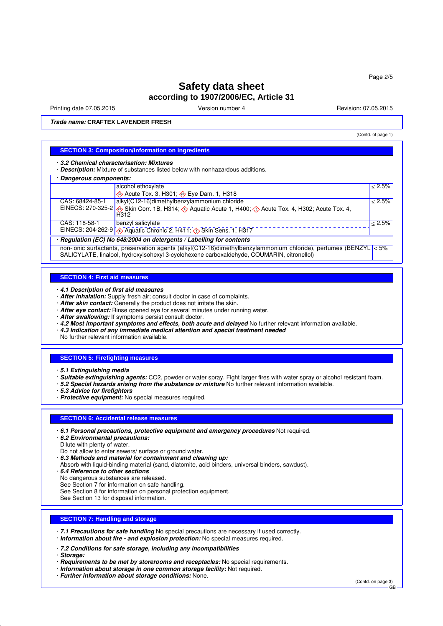# **Safety data sheet according to 1907/2006/EC, Article 31**

Printing date 07.05.2015 **Version number 4** According the Version: 07.05.2015 **Revision: 07.05.2015** 

(Contd. of page 1)

**Trade name: CRAFTEX LAVENDER FRESH**

### **SECTION 3: Composition/information on ingredients**

· **3.2 Chemical characterisation: Mixtures**

· **Description:** Mixture of substances listed below with nonhazardous additions.

#### · **Dangerous components:**

| · Dangerous components:                                              |                                                                                                   |           |  |  |
|----------------------------------------------------------------------|---------------------------------------------------------------------------------------------------|-----------|--|--|
|                                                                      | alcohol ethoxylate                                                                                | $< 2.5\%$ |  |  |
|                                                                      | Acute Tox. 3, H301; $\leftrightarrow$ Eye Dam. 1, H318                                            |           |  |  |
| CAS: 68424-85-1                                                      | alkyl(C12-16)dimethylbenzylammonium chloride                                                      | < 2.5%    |  |  |
|                                                                      | EINECS: 270-325-2 Skin Corr. 1B, H314; Aquatic Acute 1, H400; C Acute Tox. 4, H302; Acute Tox. 4, |           |  |  |
|                                                                      | H312                                                                                              |           |  |  |
| CAS: 118-58-1                                                        | benzyl salicylate                                                                                 | $< 2.5\%$ |  |  |
|                                                                      | EINECS: 204-262-9 4 Aquatic Chronic 2, H411; 1 Skin Sens. 1, H317                                 |           |  |  |
| · Regulation (EC) No 648/2004 on detergents / Labelling for contents |                                                                                                   |           |  |  |

non-ionic surfactants, preservation agents (alkyl(C12-16)dimethylbenzylammonium chloride), perfumes (BENZYL < 5% SALICYLATE, linalool, hydroxyisohexyl 3-cyclohexene carboxaldehyde, COUMARIN, citronellol)

### **SECTION 4: First aid measures**

· **4.1 Description of first aid measures**

- · **After inhalation:** Supply fresh air; consult doctor in case of complaints.
- · **After skin contact:** Generally the product does not irritate the skin.
- · **After eye contact:** Rinse opened eye for several minutes under running water.
- · **After swallowing:** If symptoms persist consult doctor.
- · **4.2 Most important symptoms and effects, both acute and delayed** No further relevant information available.
- · **4.3 Indication of any immediate medical attention and special treatment needed**

No further relevant information available.

#### **SECTION 5: Firefighting measures**

- · **5.1 Extinguishing media**
- · **Suitable extinguishing agents:** CO2, powder or water spray. Fight larger fires with water spray or alcohol resistant foam.
- · **5.2 Special hazards arising from the substance or mixture** No further relevant information available.
- · **5.3 Advice for firefighters**
- · **Protective equipment:** No special measures required.

### **SECTION 6: Accidental release measures**

- · **6.1 Personal precautions, protective equipment and emergency procedures** Not required.
- · **6.2 Environmental precautions:**
- Dilute with plenty of water.
- Do not allow to enter sewers/ surface or ground water.
- · **6.3 Methods and material for containment and cleaning up:**
- Absorb with liquid-binding material (sand, diatomite, acid binders, universal binders, sawdust).
- · **6.4 Reference to other sections**
- No dangerous substances are released.
- See Section 7 for information on safe handling.
- See Section 8 for information on personal protection equipment.
- See Section 13 for disposal information.

### **SECTION 7: Handling and storage**

- · **7.1 Precautions for safe handling** No special precautions are necessary if used correctly.
- · **Information about fire and explosion protection:** No special measures required.
- · **7.2 Conditions for safe storage, including any incompatibilities**
- · **Storage:**
- · **Requirements to be met by storerooms and receptacles:** No special requirements.
- · **Information about storage in one common storage facility:** Not required.
- · **Further information about storage conditions:** None.

(Contd. on page 3)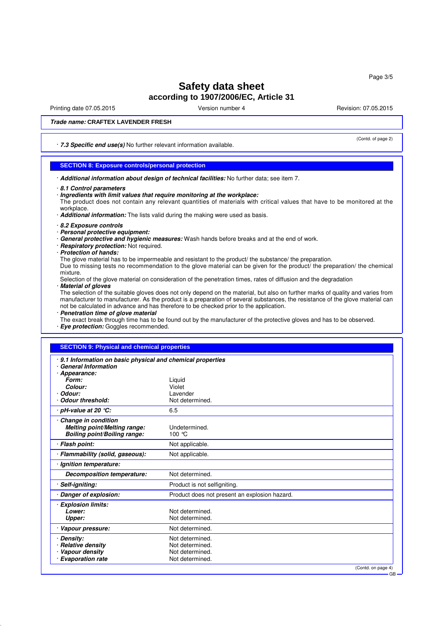Page 3/5

# **Safety data sheet according to 1907/2006/EC, Article 31**

Printing date 07.05.2015 **Version number 4** Account 2008 2015 **Revision: 07.05.2015** 

(Contd. of page 2)

### **Trade name: CRAFTEX LAVENDER FRESH**

· **7.3 Specific end use(s)** No further relevant information available.

### **SECTION 8: Exposure controls/personal protection**

· **Additional information about design of technical facilities:** No further data; see item 7.

### · **Ingredients with limit values that require monitoring at the workplace:**

The product does not contain any relevant quantities of materials with critical values that have to be monitored at the workplace.

· **Additional information:** The lists valid during the making were used as basis.

- · **8.2 Exposure controls**
- · **Personal protective equipment:**
- · **General protective and hygienic measures:** Wash hands before breaks and at the end of work.
- · **Respiratory protection:** Not required.
- · **Protection of hands:**

The glove material has to be impermeable and resistant to the product/ the substance/ the preparation. Due to missing tests no recommendation to the glove material can be given for the product/ the preparation/ the chemical mixture.

- Selection of the glove material on consideration of the penetration times, rates of diffusion and the degradation · **Material of gloves**
- 

The selection of the suitable gloves does not only depend on the material, but also on further marks of quality and varies from manufacturer to manufacturer. As the product is a preparation of several substances, the resistance of the glove material can not be calculated in advance and has therefore to be checked prior to the application.

· **Penetration time of glove material**

The exact break through time has to be found out by the manufacturer of the protective gloves and has to be observed. · **Eye protection:** Goggles recommended.

### **SECTION 9: Physical and chemical properties**

| 9.1 Information on basic physical and chemical properties<br><b>General Information</b>           |                                               |
|---------------------------------------------------------------------------------------------------|-----------------------------------------------|
| Appearance:<br>Form:                                                                              | Liquid                                        |
| Colour:                                                                                           | Violet                                        |
| Odour:                                                                                            | Lavender                                      |
| Odour threshold:                                                                                  | Not determined.                               |
| · pH-value at 20 ℃:                                                                               | 6.5                                           |
| Change in condition<br><b>Melting point/Melting range:</b><br><b>Boiling point/Boiling range:</b> | Undetermined.<br>100 °C                       |
| · Flash point:                                                                                    | Not applicable.                               |
| · Flammability (solid, gaseous):                                                                  | Not applicable.                               |
| · Ignition temperature:                                                                           |                                               |
| <b>Decomposition temperature:</b>                                                                 | Not determined.                               |
| Self-igniting:                                                                                    | Product is not selfigniting.                  |
| Danger of explosion:                                                                              | Product does not present an explosion hazard. |
| <b>Explosion limits:</b>                                                                          |                                               |
| Lower:                                                                                            | Not determined.                               |
| Upper:                                                                                            | Not determined.                               |
| · Vapour pressure:                                                                                | Not determined.                               |
| <b>Density:</b>                                                                                   | Not determined.                               |
| <b>Relative density</b>                                                                           | Not determined.                               |
| Vapour density                                                                                    | Not determined.                               |
| <b>Evaporation rate</b>                                                                           | Not determined.                               |
|                                                                                                   | (Contd. on page 4)                            |

GB

<sup>·</sup> **8.1 Control parameters**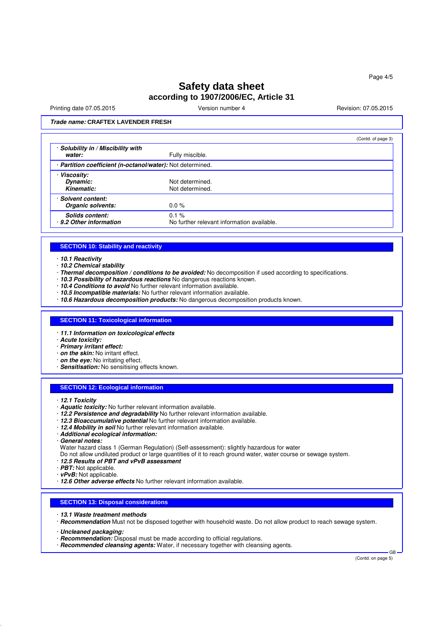# **Safety data sheet according to 1907/2006/EC, Article 31**

Printing date 07.05.2015 **Version number 4** Account 2008 2015 **Revision: 07.05.2015** 

(Contd. of page 3)

### **Trade name: CRAFTEX LAVENDER FRESH**

|                                                            |                                                        | (Cornul or page 3) |
|------------------------------------------------------------|--------------------------------------------------------|--------------------|
| · Solubility in / Miscibility with<br>water:               | Fully miscible.                                        |                    |
| · Partition coefficient (n-octanol/water): Not determined. |                                                        |                    |
| · Viscositv:<br>Dynamic:<br>Kinematic:                     | Not determined.<br>Not determined.                     |                    |
| · Solvent content:<br>Organic solvents:                    | $0.0 \%$                                               |                    |
| <b>Solids content:</b><br>9.2 Other information            | $0.1 \%$<br>No further relevant information available. |                    |

#### **SECTION 10: Stability and reactivity**

### · **10.1 Reactivity**

- · **10.2 Chemical stability**
- · **Thermal decomposition / conditions to be avoided:** No decomposition if used according to specifications.
- 10.3 Possibility of hazardous reactions No dangerous reactions known.
- · **10.4 Conditions to avoid** No further relevant information available.
- · **10.5 Incompatible materials:** No further relevant information available.
- · **10.6 Hazardous decomposition products:** No dangerous decomposition products known.

### **SECTION 11: Toxicological information**

- · **11.1 Information on toxicological effects**
- · **Acute toxicity:**
- · **Primary irritant effect:**
- · **on the skin:** No irritant effect.
- · **on the eye:** No irritating effect.
- · **Sensitisation:** No sensitising effects known.

### **SECTION 12: Ecological information**

- · **12.1 Toxicity**
- · **Aquatic toxicity:** No further relevant information available.
- · **12.2 Persistence and degradability** No further relevant information available.
- · **12.3 Bioaccumulative potential** No further relevant information available.
- · **12.4 Mobility in soil** No further relevant information available.
- · **Additional ecological information:**
- · **General notes:**
- Water hazard class 1 (German Regulation) (Self-assessment): slightly hazardous for water
- Do not allow undiluted product or large quantities of it to reach ground water, water course or sewage system.
- · **12.5 Results of PBT and vPvB assessment**
- · **PBT:** Not applicable.
- · **vPvB:** Not applicable.
- · **12.6 Other adverse effects** No further relevant information available.

### **SECTION 13: Disposal considerations**

- · **13.1 Waste treatment methods**
- · **Recommendation** Must not be disposed together with household waste. Do not allow product to reach sewage system.
- · **Uncleaned packaging:**
- · **Recommendation:** Disposal must be made according to official regulations.
- · **Recommended cleansing agents:** Water, if necessary together with cleansing agents.

(Contd. on page 5)

GB